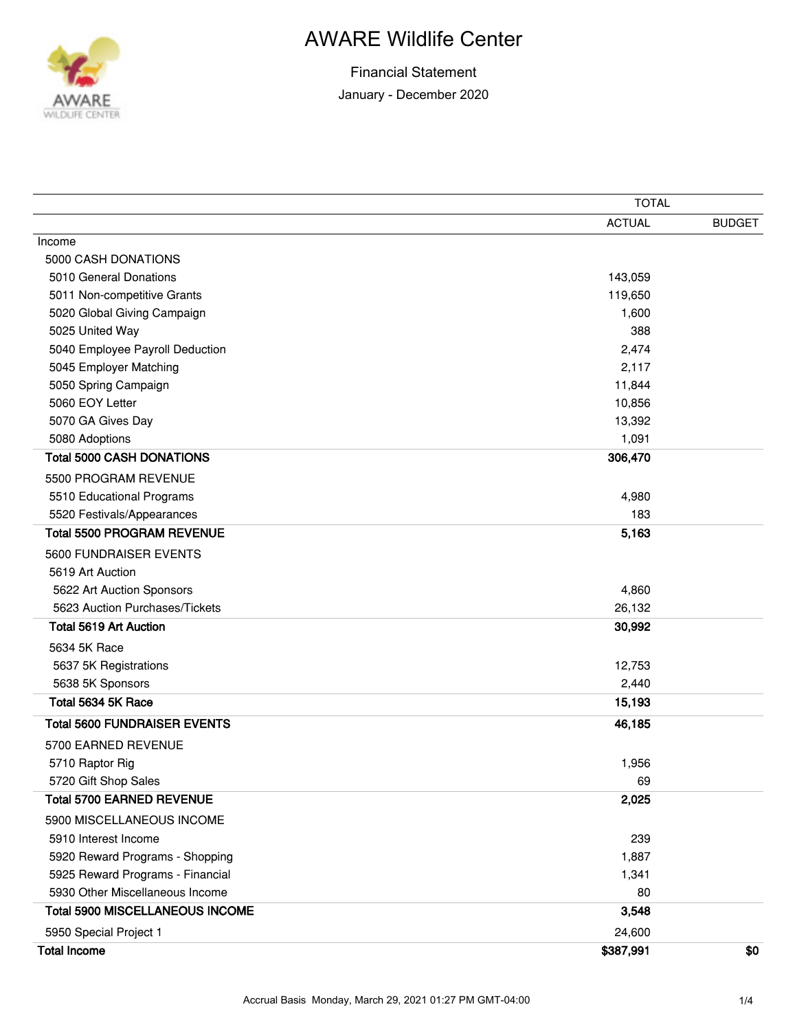

## AWARE Wildlife Center

|                                        | <b>TOTAL</b>  |               |
|----------------------------------------|---------------|---------------|
|                                        | <b>ACTUAL</b> | <b>BUDGET</b> |
| Income                                 |               |               |
| 5000 CASH DONATIONS                    |               |               |
| 5010 General Donations                 | 143,059       |               |
| 5011 Non-competitive Grants            | 119,650       |               |
| 5020 Global Giving Campaign            | 1,600         |               |
| 5025 United Way                        | 388           |               |
| 5040 Employee Payroll Deduction        | 2,474         |               |
| 5045 Employer Matching                 | 2,117         |               |
| 5050 Spring Campaign                   | 11,844        |               |
| 5060 EOY Letter                        | 10,856        |               |
| 5070 GA Gives Day                      | 13,392        |               |
| 5080 Adoptions                         | 1,091         |               |
| <b>Total 5000 CASH DONATIONS</b>       | 306,470       |               |
| 5500 PROGRAM REVENUE                   |               |               |
| 5510 Educational Programs              | 4,980         |               |
| 5520 Festivals/Appearances             | 183           |               |
| <b>Total 5500 PROGRAM REVENUE</b>      | 5,163         |               |
| 5600 FUNDRAISER EVENTS                 |               |               |
| 5619 Art Auction                       |               |               |
| 5622 Art Auction Sponsors              | 4,860         |               |
| 5623 Auction Purchases/Tickets         | 26,132        |               |
| <b>Total 5619 Art Auction</b>          | 30,992        |               |
| 5634 5K Race                           |               |               |
| 5637 5K Registrations                  | 12,753        |               |
| 5638 5K Sponsors                       | 2,440         |               |
| Total 5634 5K Race                     | 15,193        |               |
| <b>Total 5600 FUNDRAISER EVENTS</b>    | 46,185        |               |
| 5700 EARNED REVENUE                    |               |               |
| 5710 Raptor Rig                        | 1,956         |               |
| 5720 Gift Shop Sales                   | 69            |               |
| <b>Total 5700 EARNED REVENUE</b>       | 2,025         |               |
| 5900 MISCELLANEOUS INCOME              |               |               |
| 5910 Interest Income                   | 239           |               |
| 5920 Reward Programs - Shopping        | 1,887         |               |
| 5925 Reward Programs - Financial       | 1,341         |               |
| 5930 Other Miscellaneous Income        | 80            |               |
| <b>Total 5900 MISCELLANEOUS INCOME</b> | 3,548         |               |
| 5950 Special Project 1                 | 24,600        |               |
| <b>Total Income</b>                    | \$387,991     | \$0           |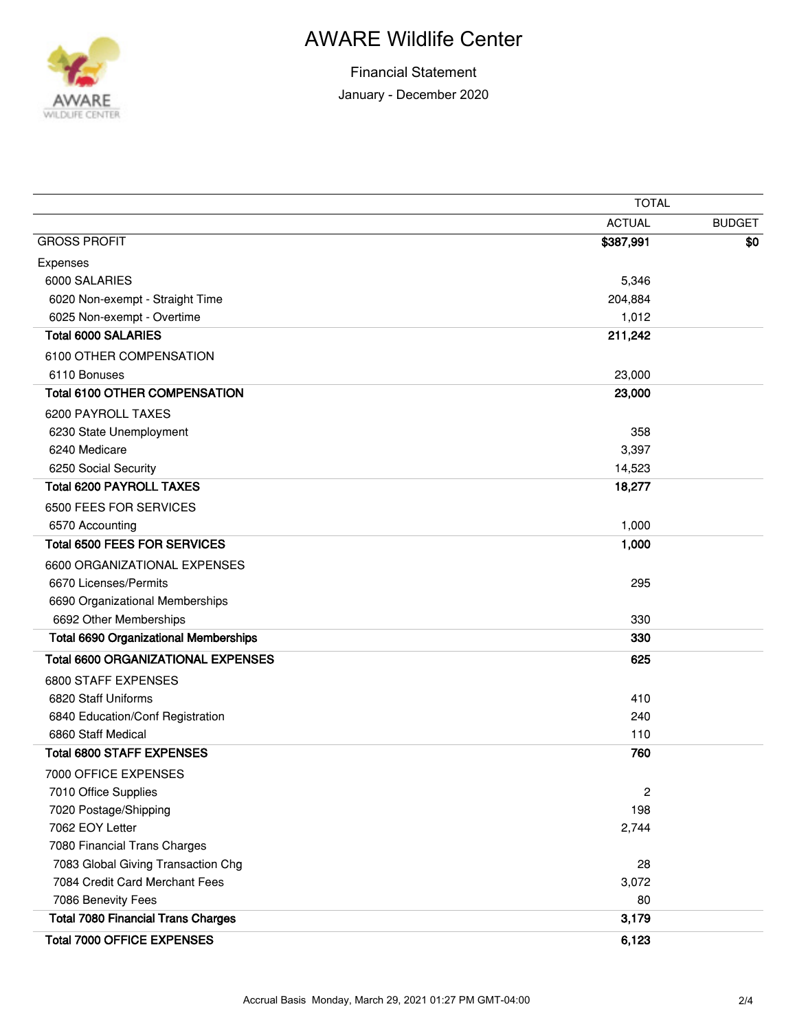

## AWARE Wildlife Center

|                                              | <b>TOTAL</b>   |               |
|----------------------------------------------|----------------|---------------|
|                                              | <b>ACTUAL</b>  | <b>BUDGET</b> |
| <b>GROSS PROFIT</b>                          | \$387,991      | \$0           |
| Expenses                                     |                |               |
| 6000 SALARIES                                | 5,346          |               |
| 6020 Non-exempt - Straight Time              | 204,884        |               |
| 6025 Non-exempt - Overtime                   | 1,012          |               |
| <b>Total 6000 SALARIES</b>                   | 211,242        |               |
| 6100 OTHER COMPENSATION                      |                |               |
| 6110 Bonuses                                 | 23,000         |               |
| <b>Total 6100 OTHER COMPENSATION</b>         | 23,000         |               |
| 6200 PAYROLL TAXES                           |                |               |
| 6230 State Unemployment                      | 358            |               |
| 6240 Medicare                                | 3,397          |               |
| 6250 Social Security                         | 14,523         |               |
| <b>Total 6200 PAYROLL TAXES</b>              | 18,277         |               |
| 6500 FEES FOR SERVICES                       |                |               |
| 6570 Accounting                              | 1,000          |               |
| <b>Total 6500 FEES FOR SERVICES</b>          | 1,000          |               |
| 6600 ORGANIZATIONAL EXPENSES                 |                |               |
| 6670 Licenses/Permits                        | 295            |               |
| 6690 Organizational Memberships              |                |               |
| 6692 Other Memberships                       | 330            |               |
| <b>Total 6690 Organizational Memberships</b> | 330            |               |
| <b>Total 6600 ORGANIZATIONAL EXPENSES</b>    | 625            |               |
| 6800 STAFF EXPENSES                          |                |               |
| 6820 Staff Uniforms                          | 410            |               |
| 6840 Education/Conf Registration             | 240            |               |
| 6860 Staff Medical                           | 110            |               |
| <b>Total 6800 STAFF EXPENSES</b>             | 760            |               |
| 7000 OFFICE EXPENSES                         |                |               |
| 7010 Office Supplies                         | $\overline{c}$ |               |
| 7020 Postage/Shipping                        | 198            |               |
| 7062 EOY Letter                              | 2,744          |               |
| 7080 Financial Trans Charges                 |                |               |
| 7083 Global Giving Transaction Chg           | 28             |               |
| 7084 Credit Card Merchant Fees               | 3,072          |               |
| 7086 Benevity Fees                           | 80             |               |
| <b>Total 7080 Financial Trans Charges</b>    | 3,179          |               |
| <b>Total 7000 OFFICE EXPENSES</b>            | 6,123          |               |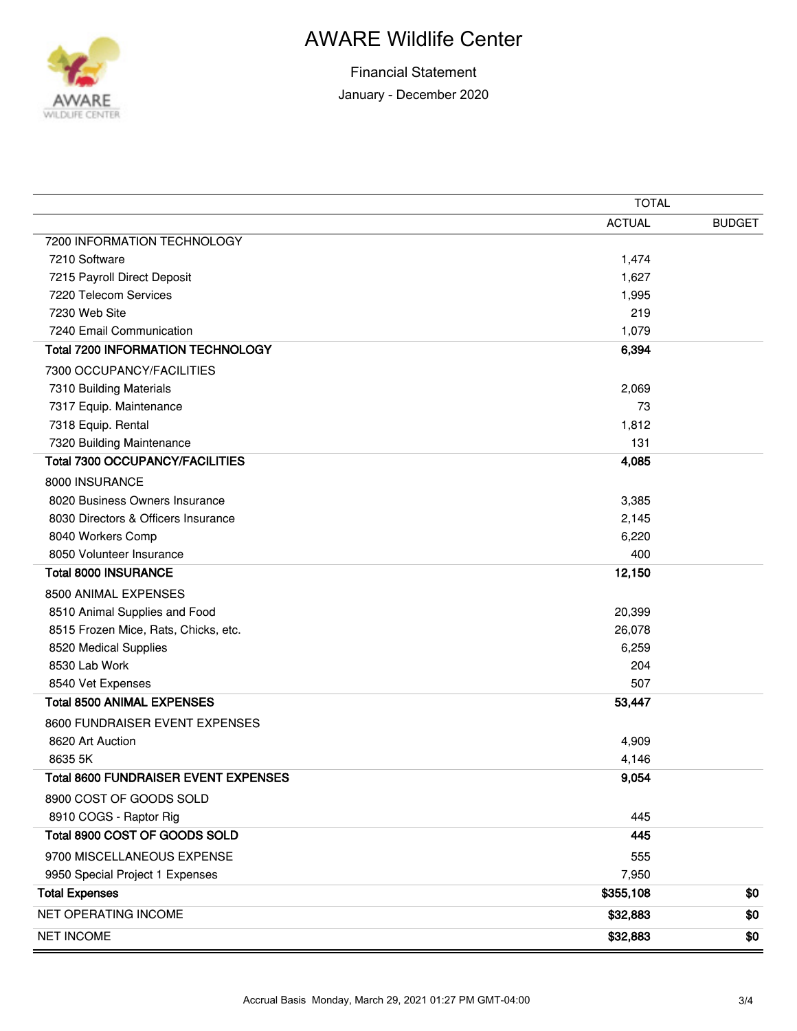

 $\overline{\phantom{0}}$ 

## AWARE Wildlife Center

|                                             | <b>TOTAL</b>  |               |
|---------------------------------------------|---------------|---------------|
|                                             | <b>ACTUAL</b> | <b>BUDGET</b> |
| 7200 INFORMATION TECHNOLOGY                 |               |               |
| 7210 Software                               | 1,474         |               |
| 7215 Payroll Direct Deposit                 | 1,627         |               |
| 7220 Telecom Services                       | 1,995         |               |
| 7230 Web Site                               | 219           |               |
| 7240 Email Communication                    | 1,079         |               |
| <b>Total 7200 INFORMATION TECHNOLOGY</b>    | 6,394         |               |
| 7300 OCCUPANCY/FACILITIES                   |               |               |
| 7310 Building Materials                     | 2,069         |               |
| 7317 Equip. Maintenance                     | 73            |               |
| 7318 Equip. Rental                          | 1,812         |               |
| 7320 Building Maintenance                   | 131           |               |
| <b>Total 7300 OCCUPANCY/FACILITIES</b>      | 4,085         |               |
| 8000 INSURANCE                              |               |               |
| 8020 Business Owners Insurance              | 3,385         |               |
| 8030 Directors & Officers Insurance         | 2,145         |               |
| 8040 Workers Comp                           | 6,220         |               |
| 8050 Volunteer Insurance                    | 400           |               |
| <b>Total 8000 INSURANCE</b>                 | 12,150        |               |
| 8500 ANIMAL EXPENSES                        |               |               |
| 8510 Animal Supplies and Food               | 20,399        |               |
| 8515 Frozen Mice, Rats, Chicks, etc.        | 26,078        |               |
| 8520 Medical Supplies                       | 6,259         |               |
| 8530 Lab Work                               | 204           |               |
| 8540 Vet Expenses                           | 507           |               |
| <b>Total 8500 ANIMAL EXPENSES</b>           | 53,447        |               |
| 8600 FUNDRAISER EVENT EXPENSES              |               |               |
| 8620 Art Auction                            | 4,909         |               |
| 8635 5K                                     | 4,146         |               |
| <b>Total 8600 FUNDRAISER EVENT EXPENSES</b> | 9,054         |               |
| 8900 COST OF GOODS SOLD                     |               |               |
| 8910 COGS - Raptor Rig                      | 445           |               |
| Total 8900 COST OF GOODS SOLD               | 445           |               |
| 9700 MISCELLANEOUS EXPENSE                  | 555           |               |
| 9950 Special Project 1 Expenses             | 7,950         |               |
| <b>Total Expenses</b>                       | \$355,108     | \$0           |
| <b>NET OPERATING INCOME</b>                 | \$32,883      | \$0           |
| <b>NET INCOME</b>                           | \$32,883      | \$0           |